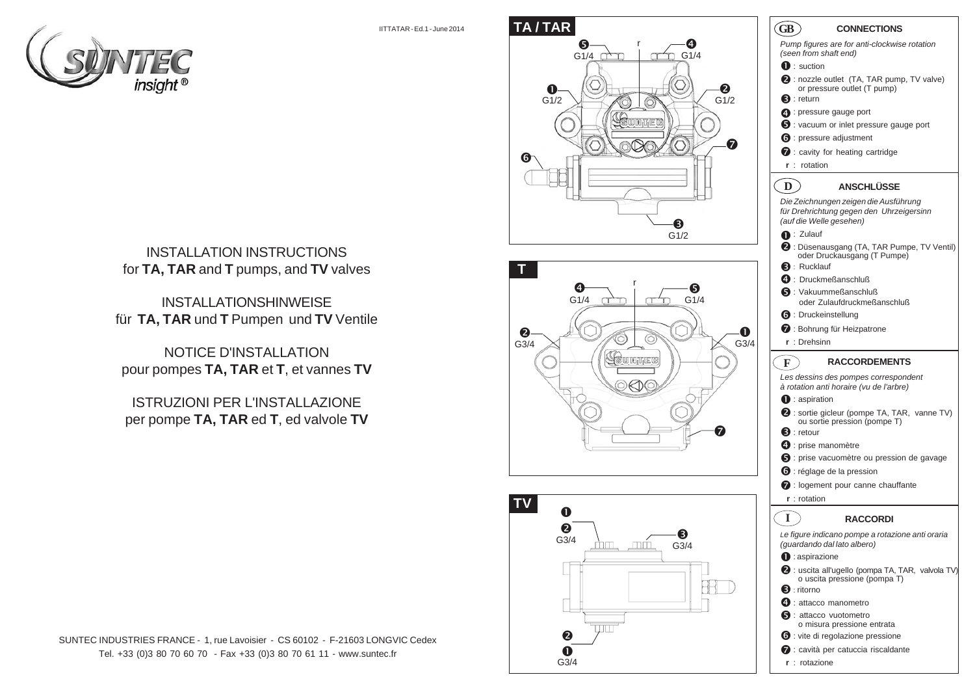IITTATAR - Ed.1 - June 2014





INSTALLATIONSHINWEISE für **TA, TAR** und **T** Pumpen und **TV** Ventile

NOTICE D'INSTALLATION pour pompes **TA, TAR** et **T**, et vannes **TV**

ISTRUZIONI PER L'INSTALLAZIONE per pompe **TA, TAR** ed **T**, ed valvole **TV**



SUNTEC INDUSTRIES FRANCE - 1, rue Lavoisier - CS 60102 - F-21603 LONGVIC Cedex Tel. +33 (0)3 80 70 60 70 - Fax +33 (0)3 80 70 61 11 - www.suntec.fr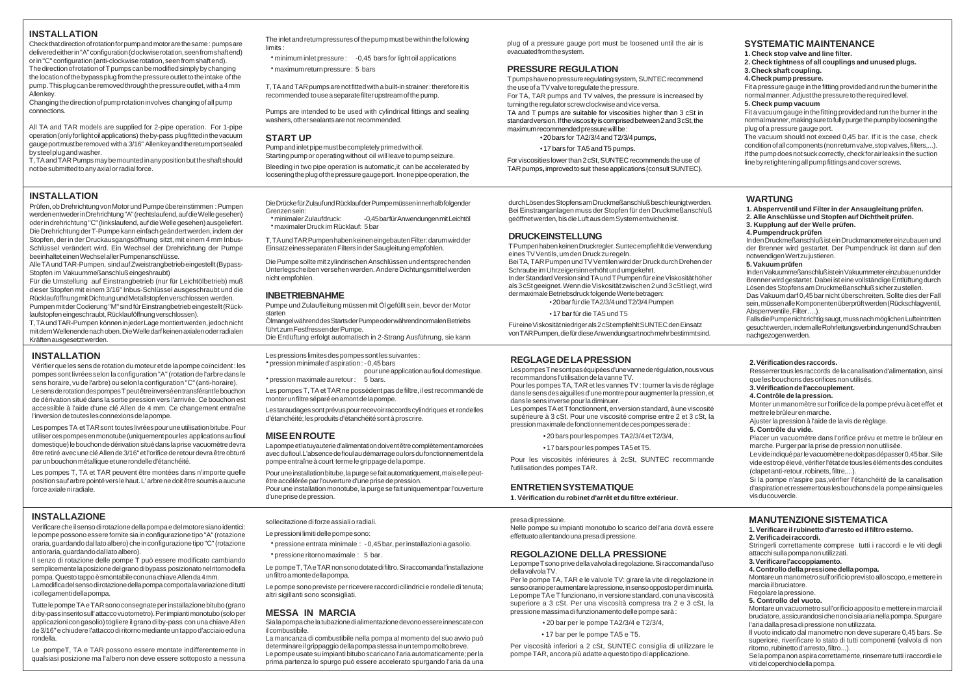# **INSTALLATION**

Check that direction of rotation for pump and motor are the same : pumps are delivered either in "A" configuration (clockwise rotation, seen from shaft end) or in "C" configuration (anti-clockwise rotation, seen from shaft end). The direction of rotation of T pumps can be modified simply by changing the location of the bypass plug from the pressure outlet to the intake of the pump. This plug can be removed through the pressure outlet, with a 4 mm Allen key.

Changing the direction of pump rotation involves changing of all pump connections.

All TA and TAR models are supplied for 2-pipe operation. For 1-pipe operation (only for light oil applications) the by-pass plug fitted in the vacuum gauge port must be removed with a 3/16" Allen key and the return port sealed by steel plug and washer.

T, TA and TAR Pumps may be mounted in any position but the shaft should not be submitted to any axial or radial force.

# **INSTALLATION**

Prüfen, ob Drehrichtung von Motor und Pumpe übereinstimmen : Pumpen werden entweder in Drehrichtung "A" (rechtslaufend, auf die Welle gesehen) oder in drehrichtung "C" (linkslaufend, auf die Welle gesehen) ausgeliefert. Die Drehrichtung der T-Pumpe kann einfach geändert werden, indem der Stopfen, der in der Druckausgangsöffnung sitzt, mit einem 4 mm Inbus-Schlüssel verändert wird. Ein Wechsel der Drehrichtung der Pumpe beeinhaltet einen Wechsel aller Pumpenanschlüsse.

Alle TA und TAR-Pumpen, sind auf Zweistrangbetrieb eingestellt (Bypass-Stopfen im Vakuummeßanschluß eingeshraubt)

Für die Umstellung auf Einstrangbetrieb (nur für Leichtölbetrieb) muß dieser Stopfen mit einem 3/16" Inbus-Schlüssel ausgeschraubt und die Rücklauföffnung mit Dichtung und Metallstopfen verschlossen werden. Pumpen mit der Codierung "M" sind für Einstrangbetrieb eingestellt (Rück-

laufstopfen eingeschraubt, Rücklauföffnung verschlossen). T, TA und TAR-Pumpen können in jeder Lage montiert werden, jedoch nicht mit dem Wellenende nach oben. Die Welle darf keinen axialen oder radialen Kräften ausgesetzt werden.

# **INSTALLATION**

Vérifier que les sens de rotation du moteur et de la pompe coïncident : les pompes sont livrées selon la configuration "A" (rotation de l'arbre dans le sens horaire, vu de l'arbre) ou selon la configuration "C" (anti-horaire). Le sens de rotation des pompes T peut être inversé en transférant le bouchon de dérivation situé dans la sortie pression vers l'arrivée. Ce bouchon est accessible à l'aide d'une clé Allen de 4 mm. Ce changement entraîne l'inversion de toutes les connexions de la pompe.

Les pompes TA et TAR sont toutes livrées pour une utilisation bitube. Pour utiliser ces pompes en monotube (uniquement pour les applications au fioul domestique) le bouchon de dérivation situé dans la prise vacuomètre devra être retiré avec une clé Allen de 3/16" et l'orifice de retour devra être obturé par un bouchon métallique et une rondelle d'étanchéité.

Les pompes T, TA et TAR peuvent être montées dans n'importe quelle position sauf arbre pointé vers le haut. L' arbre ne doit être soumis a aucune force axiale ni radiale.

# **INSTALLAZIONE**

Verificare che il senso di rotazione della pompa e del motore siano identici: le pompe possono essere fornite sia in configurazione tipo "A" (rotazione oraria, guardando dal lato albero) che in configurazione tipo "C" (rotazione antioraria, guardando dal lato albero).

Il senzo di rotazione delle pompe T può essere modificato cambiando semplicemente la posizione del grano di bypass posizionato nel ritorno della pompa. Questo tappo è smontabile con una chiave Allen da 4 mm.

La modifica del senso di rotazione della pompa comporta la variazione di tutti i collegamenti della pompa.

Tutte le pompe TA e TAR sono consegnate per installazione bitubo (grano di by-pass inserito sull' attacco vuotometro). Per impianti monotubo (solo per applicazioni con gasolio) togliere il grano di by-pass con una chiave Allen de 3/16" e chiudere l'attacco di ritorno mediante un tappo d'acciaio ed una rondella.

Le pompeT, TA e TAR possono essere montate indifferentemente in qualsiasi posizione ma l'albero non deve essere sottoposto a nessuna The inlet and return pressures of the pump must be within the following limits :

x minimum inlet pressure : -0,45 bars for light oil applications x maximum return pressure : 5 bars

T, TA and TAR pumps are not fitted with a built-in strainer : therefore it is recommended to use a separate filter upstream of the pump.

Pumps are intended to be used with cylindrical fittings and sealing washers, other sealants are not recommended.

# **START UP**

Pump and inlet pipe must be completely primed with oil. Starting pump or operating without oil will leave to pump seizure.

Bleeding in two pipe operation is automatic,it can be accelerated by loosening the plug of the pressure gauge port. In one pipe operation, the

Die Drücke für Zulauf und Rücklauf der Pumpe müssen innerhalb folgender Grenzen sein:<br>• minimaler Zulaufdruck:

-0,45 bar für Anwendungen mit Leichtöl x maximaler Druck im Rücklauf: 5 bar

T, TA und TAR Pumpen haben keinen eingebauten Filter: darum wird der Einsatz eines separaten Filters in der Saugleitung empfohlen.

Die Pumpe sollte mit zylindrischen Anschlüssen und entsprechenden Unterlegscheiben versehen werden. Andere Dichtungsmittel werden nicht empfohlen.

### **INBETRIEBNAHME**

Pumpe und Zulaufleitung müssen mit Öl gefüllt sein, bevor der Motor starten

Ölmangel während des Starts der Pumpe oder während normalen Betriebs führt zum Festfressen der Pumpe.

Die Entlüftung erfolgt automatisch in 2-Strang Ausführung, sie kann

Les pressions limites des pompes sont les suivantes : x pression minimale d'aspiration : - 0,45 bars

pour une application au fioul domestique. \* pression maximale au retour : 5 bars.

Les pompes T, TA et TAR ne possèdent pas de filtre, il est recommandé de monter un filtre séparé en amont de la pompe.

Les taraudages sont prévus pour recevoir raccords cylindriques et rondelles d'étanchéité; les produits d'étanchéité sont à proscrire.

#### **MISE EN ROUTE**

sollecitazione di forze assiali o radiali. Le pressioni limiti delle pompe sono:

\* pressione ritorno maximale : 5 bar.

un filtro a monte della pompa.

altri sigillanti sono sconsigliati. **MESSA IN MARCIA**

il combustibile.

La pompe et la tuyauterie d'alimentation doivent être complètement amorcées avec du fioul.L'absence de fioul au démarrage ou lors du fonctionnement de la pompe entraîne à court terme le grippage de la pompe.

Pour une installation bitube, la purge se fait automatiquement, mais elle peutêtre accélérée par l'ouverture d'une prise de pression. Pour une installation monotube, la purge se fait uniquement par l'ouverture d'une prise de pression.

x pressione entrata minimale : - 0,45 bar, per installazioni a gasolio.

Le pompe T, TA e TAR non sono dotate di filtro. Si raccomanda l'installazione

Le pompe sono previste per ricevere raccordi cilindrici e rondelle di tenuta;

Sia la pompa che la tubazione di alimentazione devono essere innescate con

La mancanza di combustibile nella pompa al momento del suo avvio può determinare il grippaggio della pompa stessa in un tempo molto breve. Le pompe usate su impianti bitubo scaricano l'aria automaticamente; per la prima partenza lo spurgo può essere accelerato spurgando l'aria da una

plug of a pressure gauge port must be loosened until the air is evacuated from the system.

# **PRESSURE REGULATION**

T pumps have no pressure regulating system, SUNTEC recommend the use of a TV valve to regulate the pressure. For TA, TAR pumps and TV valves, the pressure is increased by turning the regulator screw clockwise and vice versa. TA and T pumps are suitable for viscosities higher than 3 cSt in standard version. If the viscosity is comprised between 2 and 3 cSt, the maximum recommended pressure will be : • 20 bars for TA2/3/4 and T2/3/4 pumps,

• 17 bars for TA5 and T5 pumps.

For viscosities lower than 2 cSt, SUNTEC recommends the use of TAR pumps**,** improved to suit these applications (consult SUNTEC).

durch Lösen des Stopfens am Druckmeßanschluß beschleunigt werden. Bei Einstranganlagen muss der Stopfen für den Druckmeßanschluß geöffnet werden, bis die Luft aus dem System entwichen ist.

# **DRUCKEINSTELLUNG**

T Pumpen haben keinen Druckregler. Suntec empfiehlt die Verwendung eines TV Ventils, um den Druck zu regeln. Bei TA, TAR Pumpen und TV Ventilen wird der Druck durch Drehen der Schraube im Uhrzeigersinn erhöht und umgekehrt. In der Standard Version sind TA und T Pumpen für eine Viskosität höher als 3 cSt geeignet. Wenn die Viskosität zwischen 2 und 3 cSt liegt, wird der maximale Betriebsdruck folgende Werte betragen: • 20 bar für die TA2/3/4 und T2/3/4 Pumpen

• 17 bar für die TA5 und T5

Für eine Viskosität niedriger als 2 cSt empfiehlt SUNTEC den Einsatz von TAR Pumpen, die für diese Anwendungsart noch mehr bestimmt sind.

# **REGLAGE DE LA PRESSION**

Les pompes T ne sont pas équipées d'une vanne de régulation, nous vous recommandons l'utilisation de la vanne TV. Pour les pompes TA, TAR et les vannes TV : tourner la vis de réglage dans le sens des aiguilles d'une montre pour augmenter la pression, et dans le sens inverse pour la diminuer. Les pompes TA et T fonctionnent, en version standard, à une viscosité supérieure à 3 cSt. Pour une viscosité comprise entre 2 et 3 cSt, la pression maximale de fonctionnement de ces pompes sera de :

• 20 bars pour les pompes TA2/3/4 et T2/3/4,

• 17 bars pour les pompes TA5 et T5.

Pour les viscosités inférieures à 2cSt, SUNTEC recommande l'utilisation des pompes TAR.

### **ENTRETIEN SYSTEMATIQUE**

**1. Vérification du robinet d'arrêt et du filtre extérieur.**

presa di pressione. Nelle pompe su impianti monotubo lo scarico dell'aria dovrà essere effettuato allentando una presa di pressione.

### **REGOLAZIONE DELLA PRESSIONE**

Le pompe T sono prive della valvola di regolazione. Si raccomanda l'uso della valvola TV.

Per le pompe TA, TAR e le valvole TV: girare la vite di regolazione in senso orario per aumentare la pressione, in senso opposto per diminuirla. Le pompe TA e T funzionano, in versione standard, con una viscosità superiore a 3 cSt. Per una viscosità compresa tra 2 e 3 cSt, la pressione massima di funzionamento delle pompe sarà :

• 20 bar per le pompe TA2/3/4 e T2/3/4,

• 17 bar per le pompe TA5 e T5.

Per viscosità inferiori a 2 cSt, SUNTEC consiglia di utilizzare le pompe TAR, ancora più adatte a questo tipo di applicazione.

# **SYSTEMATIC MAINTENANCE**

**1. Check stop valve and line filter.**

**2. Check tightness of all couplings and unused plugs. 3. Check shaft coupling.**

**4. Check pump pressure.**

Fit a pressure gauge in the fitting provided and run the burner in the normal manner. Adjust the pressure to the required level. **5. Check pump vacuum**

Fit a vacuum gauge in the fitting provided and run the burner in the normal manner, making sure to fully purge the pump by loosening the plug of a pressure gauge port.

The vacuum should not exceed 0,45 bar. If it is the case, check condition of all components (non return valve, stop valves, filters, ...). If the pump does not suck correctly, check for air leaks in the suction line by retightening all pump fittings and cover screws.

# **WARTUNG**

**1. Absperrventil und Filter in der Ansaugleitung prüfen. 2. Alle Anschlüsse und Stopfen auf Dichtheit prüfen. 3. Kupplung auf der Welle prüfen. 4. Pumpendruck prüfen**

In den Druckmeßanschluß ist ein Druckmanometer einzubauen und der Brenner wird gestartet. Der Pumpendruck ist dann auf den notwendigen Wert zu justieren.

#### **5. Vakuum prüfen**

In den Vakuummeßanschluß ist ein Vakuummeter einzubauen und der Brenner wird gestartet. Dabei ist eine vollständige Entlüftung durch Lösen des Stopfens am Druckmeßanschluß sicher zu stellen. Das Vakuum darf 0,45 bar nicht überschreiten. Sollte dies der Fall sein, müssen alle Komponenten überprüft werden (Rückschlagventil, Absperrventile, Filter….).

Falls die Pumpe nicht richtig saugt, muss nach möglichen Lufteintritten gesucht werden, indem alle Rohrleitungsverbindungen und Schrauben nachgezogen werden.

**2. Vérification des raccords.**

#### Resserrer tous les raccords de la canalisation d'alimentation, ainsi que les bouchons des orifices non utilisés.

**3. Vérification de l'accouplement. 4. Contrôle de la pression.** Monter un manomètre sur l'orifice de la pompe prévu à cet effet et mettre le brûleur en marche.

Ajuster la pression à l'aide de la vis de règlage. **5. Contrôle du vide.**

Placer un vacuométre dans l'orifice prévu et mettre le brûleur en marche. Purger par la prise de pression non utilisée.

Le vide indiqué par le vacuomètre ne doit pas dépasser 0,45 bar. Si le vide est trop élevé, vérifier l'état de tous les éléments des conduites (clapet anti-retour, robinets, filtre,...).

Si la pompe n'aspire pas,vérifier l'étanchéité de la canalisation d'aspiration et resserrer tous les bouchons de la pompe ainsi que les vis du couvercle.

# **MANUTENZIONE SISTEMATICA**

**1. Verificare il rubinetto d'arresto ed il filtro esterno. 2. Verifica dei raccordi.**

Stringerli correttamente comprese tutti i raccordi e le viti degli attacchi sulla pompa non utilizzati.

#### **3. Verificare l'accoppiamento.**

**4. Controllo della pressione della pompa.**

Montare un manometro sull'orificio previsto allo scopo, e mettere in marcia il bruciatore.

Regolare la pressione. **5. Controllo del vuoto.**

Montare un vacuometro sull'orificio apposito e mettere in marcia il bruciatore, assicurandosi che non ci sia aria nella pompa. Spurgare l'aria dalla presa di pressione non utilizzata.

Il vuoto indicato dal manometro non deve superare 0,45 bars. Se superiore, riverificare lo stato di tutti componenti (valvola di non ritorno, rubinetto d'arresto, filtro...).

Se la pompa non aspira correttamente, rinserrare tutti i raccordi e le viti del coperchio della pompa.